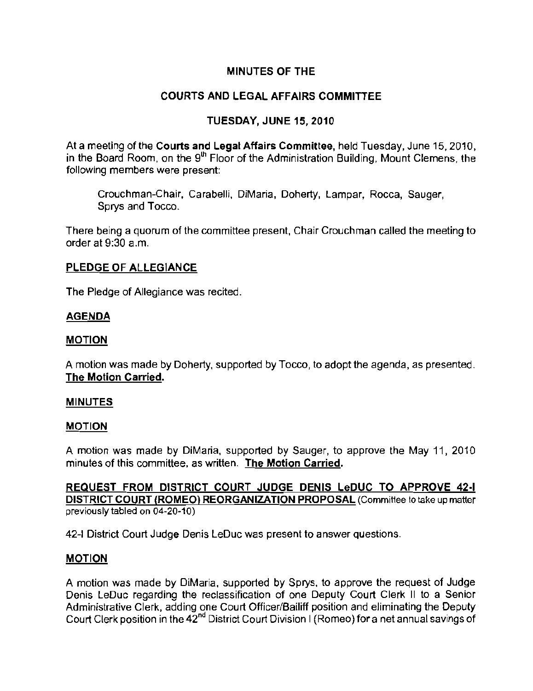## **MINUTES OF THE**

# **COURTS AND LEGAL AFFAIRS COMMITTEE**

# **TUESDAY, JUNE 15, 2010**

At a meeting of the **Courts and Legal Affairs Committee,** held Tuesday, June 15,2010, in the Board Room, on the 9<sup>th</sup> Floor of the Administration Building, Mount Clemens, the **following members were present:** 

Crouchman-Chair, Carabelli, DiMaria, Doherty, Lampar, Rocca, Sauger, Sprys and Tocco.

There being a quonum of the committee present, Chair Crouchman called the meeting to order at 9:30 a.m.

## **PLEDGE OF ALLEGIANCE**

The Pledge of Allegiance was recited.

### **AGENDA**

### **MOTION**

A motion was made by Doherty, supported by Tocco, to adopt the agenda, as presented. **The Motion Carried,** 

#### **MINUTES**

#### **MOTION**

A motion was made by DiMaria, supported by Sauger, to approve the May **11,** 2010 **minutes of this committee, as written. The Motion Carried.** 

**REQUEST FROM DISTRICT COURT JUDGE DENIS LeDUC TO APPROVE 42-1 DISTRICT COURT (ROMEO) REORGANIZATION PROPOSAL (Committee to take up matter)** previously tabled **on 04-20-10)** 

**42-1 District Court JUdge Denis LeDuc was present to answer questions.** 

## **MOTION**

A motion was made by DiMaria, supported by Sprys, to approve the request of Judge Denis LeDuc regarding the reclassification of one Deputy Court Clerk II to a Senior Administrative Clerk, adding one Court Officer/Bailiff position and eiiminating the Deputy Court Clerk position in the 42<sup>nd</sup> District Court Division I (Romeo) for a net annual savings of